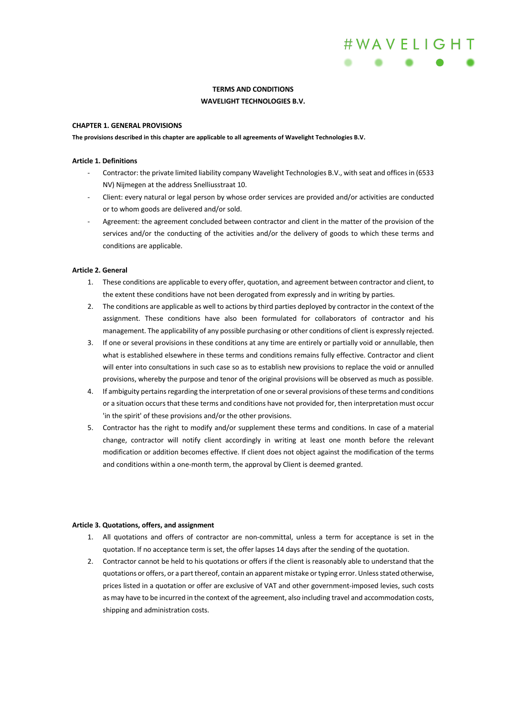

## **TERMS AND CONDITIONS**

#### **WAVELIGHT TECHNOLOGIES B.V.**

## **CHAPTER 1. GENERAL PROVISIONS**

**The provisions described in this chapter are applicable to all agreements of Wavelight Technologies B.V.** 

#### **Article 1. Definitions**

- Contractor: the private limited liability company Wavelight Technologies B.V., with seat and offices in (6533 NV) Nijmegen at the address Snelliusstraat 10.
- Client: every natural or legal person by whose order services are provided and/or activities are conducted or to whom goods are delivered and/or sold.
- Agreement: the agreement concluded between contractor and client in the matter of the provision of the services and/or the conducting of the activities and/or the delivery of goods to which these terms and conditions are applicable.

#### **Article 2. General**

- 1. These conditions are applicable to every offer, quotation, and agreement between contractor and client, to the extent these conditions have not been derogated from expressly and in writing by parties.
- 2. The conditions are applicable as well to actions by third parties deployed by contractor in the context of the assignment. These conditions have also been formulated for collaborators of contractor and his management. The applicability of any possible purchasing or other conditions of client is expressly rejected.
- 3. If one or several provisions in these conditions at any time are entirely or partially void or annullable, then what is established elsewhere in these terms and conditions remains fully effective. Contractor and client will enter into consultations in such case so as to establish new provisions to replace the void or annulled provisions, whereby the purpose and tenor of the original provisions will be observed as much as possible.
- 4. If ambiguity pertains regarding the interpretation of one or several provisions of these terms and conditions or a situation occurs that these terms and conditions have not provided for, then interpretation must occur 'in the spirit' of these provisions and/or the other provisions.
- 5. Contractor has the right to modify and/or supplement these terms and conditions. In case of a material change, contractor will notify client accordingly in writing at least one month before the relevant modification or addition becomes effective. If client does not object against the modification of the terms and conditions within a one-month term, the approval by Client is deemed granted.

## **Article 3. Quotations, offers, and assignment**

- 1. All quotations and offers of contractor are non-committal, unless a term for acceptance is set in the quotation. If no acceptance term is set, the offer lapses 14 days after the sending of the quotation.
- 2. Contractor cannot be held to his quotations or offers if the client is reasonably able to understand that the quotations or offers, or a part thereof, contain an apparent mistake or typing error. Unless stated otherwise, prices listed in a quotation or offer are exclusive of VAT and other government-imposed levies, such costs as may have to be incurred in the context of the agreement, also including travel and accommodation costs, shipping and administration costs.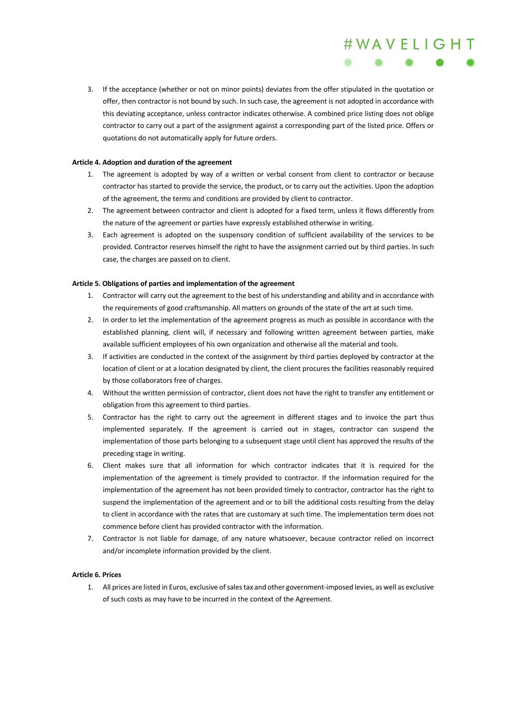3. If the acceptance (whether or not on minor points) deviates from the offer stipulated in the quotation or offer, then contractor is not bound by such. In such case, the agreement is not adopted in accordance with this deviating acceptance, unless contractor indicates otherwise. A combined price listing does not oblige contractor to carry out a part of the assignment against a corresponding part of the listed price. Offers or quotations do not automatically apply for future orders.

#WAVELIGHT

## **Article 4. Adoption and duration of the agreement**

- 1. The agreement is adopted by way of a written or verbal consent from client to contractor or because contractor has started to provide the service, the product, or to carry out the activities. Upon the adoption of the agreement, the terms and conditions are provided by client to contractor.
- 2. The agreement between contractor and client is adopted for a fixed term, unless it flows differently from the nature of the agreement or parties have expressly established otherwise in writing.
- 3. Each agreement is adopted on the suspensory condition of sufficient availability of the services to be provided. Contractor reserves himself the right to have the assignment carried out by third parties. In such case, the charges are passed on to client.

## **Article 5. Obligations of parties and implementation of the agreement**

- 1. Contractor will carry out the agreement to the best of his understanding and ability and in accordance with the requirements of good craftsmanship. All matters on grounds of the state of the art at such time.
- 2. In order to let the implementation of the agreement progress as much as possible in accordance with the established planning, client will, if necessary and following written agreement between parties, make available sufficient employees of his own organization and otherwise all the material and tools.
- 3. If activities are conducted in the context of the assignment by third parties deployed by contractor at the location of client or at a location designated by client, the client procures the facilities reasonably required by those collaborators free of charges.
- 4. Without the written permission of contractor, client does not have the right to transfer any entitlement or obligation from this agreement to third parties.
- 5. Contractor has the right to carry out the agreement in different stages and to invoice the part thus implemented separately. If the agreement is carried out in stages, contractor can suspend the implementation of those parts belonging to a subsequent stage until client has approved the results of the preceding stage in writing.
- 6. Client makes sure that all information for which contractor indicates that it is required for the implementation of the agreement is timely provided to contractor. If the information required for the implementation of the agreement has not been provided timely to contractor, contractor has the right to suspend the implementation of the agreement and or to bill the additional costs resulting from the delay to client in accordance with the rates that are customary at such time. The implementation term does not commence before client has provided contractor with the information.
- 7. Contractor is not liable for damage, of any nature whatsoever, because contractor relied on incorrect and/or incomplete information provided by the client.

## **Article 6. Prices**

1. All prices are listed in Euros, exclusive ofsales tax and other government-imposed levies, as well as exclusive of such costs as may have to be incurred in the context of the Agreement.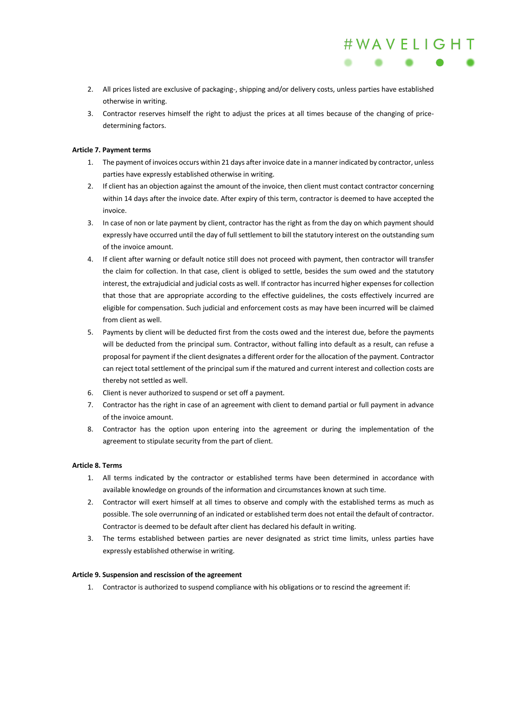2. All prices listed are exclusive of packaging-, shipping and/or delivery costs, unless parties have established otherwise in writing.

#WAVELIGHT

3. Contractor reserves himself the right to adjust the prices at all times because of the changing of pricedetermining factors.

## **Article 7. Payment terms**

- 1. The payment of invoices occurs within 21 days after invoice date in a manner indicated by contractor, unless parties have expressly established otherwise in writing.
- 2. If client has an objection against the amount of the invoice, then client must contact contractor concerning within 14 days after the invoice date. After expiry of this term, contractor is deemed to have accepted the invoice.
- 3. In case of non or late payment by client, contractor has the right as from the day on which payment should expressly have occurred until the day of full settlement to bill the statutory interest on the outstanding sum of the invoice amount.
- 4. If client after warning or default notice still does not proceed with payment, then contractor will transfer the claim for collection. In that case, client is obliged to settle, besides the sum owed and the statutory interest, the extrajudicial and judicial costs as well. If contractor has incurred higher expenses for collection that those that are appropriate according to the effective guidelines, the costs effectively incurred are eligible for compensation. Such judicial and enforcement costs as may have been incurred will be claimed from client as well.
- 5. Payments by client will be deducted first from the costs owed and the interest due, before the payments will be deducted from the principal sum. Contractor, without falling into default as a result, can refuse a proposal for payment if the client designates a different order for the allocation of the payment. Contractor can reject total settlement of the principal sum if the matured and current interest and collection costs are thereby not settled as well.
- 6. Client is never authorized to suspend or set off a payment.
- 7. Contractor has the right in case of an agreement with client to demand partial or full payment in advance of the invoice amount.
- 8. Contractor has the option upon entering into the agreement or during the implementation of the agreement to stipulate security from the part of client.

## **Article 8. Terms**

- 1. All terms indicated by the contractor or established terms have been determined in accordance with available knowledge on grounds of the information and circumstances known at such time.
- 2. Contractor will exert himself at all times to observe and comply with the established terms as much as possible. The sole overrunning of an indicated or established term does not entail the default of contractor. Contractor is deemed to be default after client has declared his default in writing.
- 3. The terms established between parties are never designated as strict time limits, unless parties have expressly established otherwise in writing.

## **Article 9. Suspension and rescission of the agreement**

1. Contractor is authorized to suspend compliance with his obligations or to rescind the agreement if: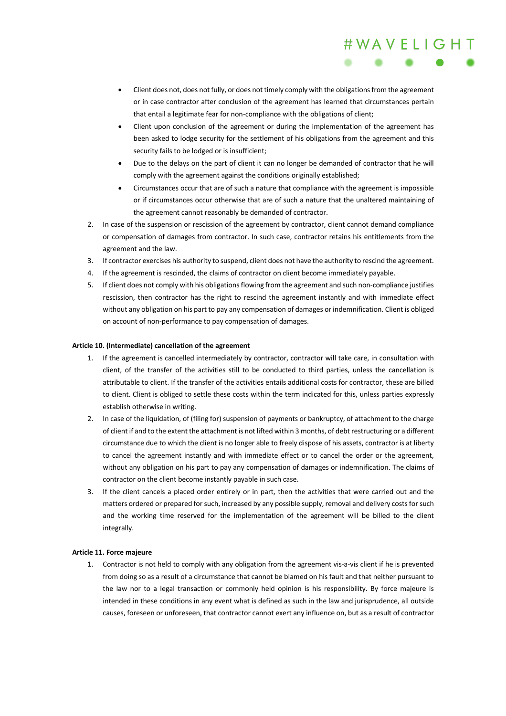• Client does not, does not fully, or does not timely comply with the obligations from the agreement or in case contractor after conclusion of the agreement has learned that circumstances pertain that entail a legitimate fear for non-compliance with the obligations of client;

#WAVELIGHT

- Client upon conclusion of the agreement or during the implementation of the agreement has been asked to lodge security for the settlement of his obligations from the agreement and this security fails to be lodged or is insufficient;
- Due to the delays on the part of client it can no longer be demanded of contractor that he will comply with the agreement against the conditions originally established;
- Circumstances occur that are of such a nature that compliance with the agreement is impossible or if circumstances occur otherwise that are of such a nature that the unaltered maintaining of the agreement cannot reasonably be demanded of contractor.
- 2. In case of the suspension or rescission of the agreement by contractor, client cannot demand compliance or compensation of damages from contractor. In such case, contractor retains his entitlements from the agreement and the law.
- 3. If contractor exercises his authority to suspend, client does not have the authority to rescind the agreement.
- 4. If the agreement is rescinded, the claims of contractor on client become immediately payable.
- 5. If client does not comply with his obligations flowing from the agreement and such non-compliance justifies rescission, then contractor has the right to rescind the agreement instantly and with immediate effect without any obligation on his part to pay any compensation of damages or indemnification. Client is obliged on account of non-performance to pay compensation of damages.

## **Article 10. (Intermediate) cancellation of the agreement**

- 1. If the agreement is cancelled intermediately by contractor, contractor will take care, in consultation with client, of the transfer of the activities still to be conducted to third parties, unless the cancellation is attributable to client. If the transfer of the activities entails additional costs for contractor, these are billed to client. Client is obliged to settle these costs within the term indicated for this, unless parties expressly establish otherwise in writing.
- 2. In case of the liquidation, of (filing for) suspension of payments or bankruptcy, of attachment to the charge of client if and to the extent the attachment is not lifted within 3 months, of debt restructuring or a different circumstance due to which the client is no longer able to freely dispose of his assets, contractor is at liberty to cancel the agreement instantly and with immediate effect or to cancel the order or the agreement, without any obligation on his part to pay any compensation of damages or indemnification. The claims of contractor on the client become instantly payable in such case.
- 3. If the client cancels a placed order entirely or in part, then the activities that were carried out and the matters ordered or prepared for such, increased by any possible supply, removal and delivery costs for such and the working time reserved for the implementation of the agreement will be billed to the client integrally.

## **Article 11. Force majeure**

1. Contractor is not held to comply with any obligation from the agreement vis-a-vis client if he is prevented from doing so as a result of a circumstance that cannot be blamed on his fault and that neither pursuant to the law nor to a legal transaction or commonly held opinion is his responsibility. By force majeure is intended in these conditions in any event what is defined as such in the law and jurisprudence, all outside causes, foreseen or unforeseen, that contractor cannot exert any influence on, but as a result of contractor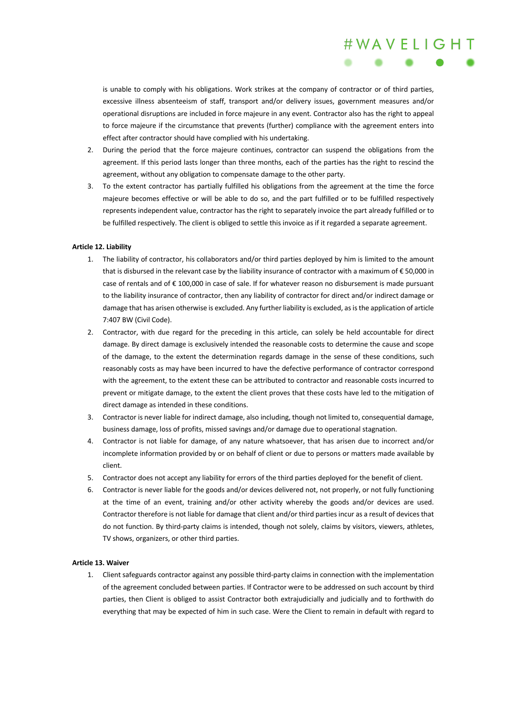is unable to comply with his obligations. Work strikes at the company of contractor or of third parties, excessive illness absenteeism of staff, transport and/or delivery issues, government measures and/or operational disruptions are included in force majeure in any event. Contractor also has the right to appeal to force majeure if the circumstance that prevents (further) compliance with the agreement enters into effect after contractor should have complied with his undertaking.

#WAVELIGHT

- 2. During the period that the force majeure continues, contractor can suspend the obligations from the agreement. If this period lasts longer than three months, each of the parties has the right to rescind the agreement, without any obligation to compensate damage to the other party.
- 3. To the extent contractor has partially fulfilled his obligations from the agreement at the time the force majeure becomes effective or will be able to do so, and the part fulfilled or to be fulfilled respectively represents independent value, contractor has the right to separately invoice the part already fulfilled or to be fulfilled respectively. The client is obliged to settle this invoice as if it regarded a separate agreement.

#### **Article 12. Liability**

- 1. The liability of contractor, his collaborators and/or third parties deployed by him is limited to the amount that is disbursed in the relevant case by the liability insurance of contractor with a maximum of € 50,000 in case of rentals and of € 100,000 in case of sale. If for whatever reason no disbursement is made pursuant to the liability insurance of contractor, then any liability of contractor for direct and/or indirect damage or damage that has arisen otherwise is excluded. Any further liability is excluded, as is the application of article 7:407 BW (Civil Code).
- 2. Contractor, with due regard for the preceding in this article, can solely be held accountable for direct damage. By direct damage is exclusively intended the reasonable costs to determine the cause and scope of the damage, to the extent the determination regards damage in the sense of these conditions, such reasonably costs as may have been incurred to have the defective performance of contractor correspond with the agreement, to the extent these can be attributed to contractor and reasonable costs incurred to prevent or mitigate damage, to the extent the client proves that these costs have led to the mitigation of direct damage as intended in these conditions.
- 3. Contractor is never liable for indirect damage, also including, though not limited to, consequential damage, business damage, loss of profits, missed savings and/or damage due to operational stagnation.
- 4. Contractor is not liable for damage, of any nature whatsoever, that has arisen due to incorrect and/or incomplete information provided by or on behalf of client or due to persons or matters made available by client.
- 5. Contractor does not accept any liability for errors of the third parties deployed for the benefit of client.
- 6. Contractor is never liable for the goods and/or devices delivered not, not properly, or not fully functioning at the time of an event, training and/or other activity whereby the goods and/or devices are used. Contractor therefore is not liable for damage that client and/or third parties incur as a result of devices that do not function. By third-party claims is intended, though not solely, claims by visitors, viewers, athletes, TV shows, organizers, or other third parties.

#### **Article 13. Waiver**

1. Client safeguards contractor against any possible third-party claims in connection with the implementation of the agreement concluded between parties. If Contractor were to be addressed on such account by third parties, then Client is obliged to assist Contractor both extrajudicially and judicially and to forthwith do everything that may be expected of him in such case. Were the Client to remain in default with regard to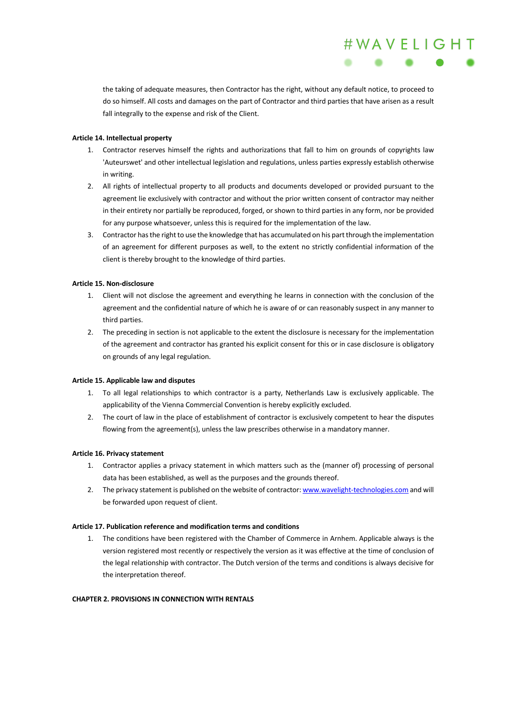the taking of adequate measures, then Contractor has the right, without any default notice, to proceed to do so himself. All costs and damages on the part of Contractor and third parties that have arisen as a result fall integrally to the expense and risk of the Client.

#WAVELIGHT

## **Article 14. Intellectual property**

- 1. Contractor reserves himself the rights and authorizations that fall to him on grounds of copyrights law 'Auteurswet' and other intellectual legislation and regulations, unless parties expressly establish otherwise in writing.
- 2. All rights of intellectual property to all products and documents developed or provided pursuant to the agreement lie exclusively with contractor and without the prior written consent of contractor may neither in their entirety nor partially be reproduced, forged, or shown to third parties in any form, nor be provided for any purpose whatsoever, unless this is required for the implementation of the law.
- 3. Contractor has the right to use the knowledge that has accumulated on his part through the implementation of an agreement for different purposes as well, to the extent no strictly confidential information of the client is thereby brought to the knowledge of third parties.

## **Article 15. Non-disclosure**

- 1. Client will not disclose the agreement and everything he learns in connection with the conclusion of the agreement and the confidential nature of which he is aware of or can reasonably suspect in any manner to third parties.
- 2. The preceding in section is not applicable to the extent the disclosure is necessary for the implementation of the agreement and contractor has granted his explicit consent for this or in case disclosure is obligatory on grounds of any legal regulation.

## **Article 15. Applicable law and disputes**

- 1. To all legal relationships to which contractor is a party, Netherlands Law is exclusively applicable. The applicability of the Vienna Commercial Convention is hereby explicitly excluded.
- 2. The court of law in the place of establishment of contractor is exclusively competent to hear the disputes flowing from the agreement(s), unless the law prescribes otherwise in a mandatory manner.

## **Article 16. Privacy statement**

- 1. Contractor applies a privacy statement in which matters such as the (manner of) processing of personal data has been established, as well as the purposes and the grounds thereof.
- 2. The privacy statement is published on the website of contractor: www.wavelight-technologies.com and will be forwarded upon request of client.

# **Article 17. Publication reference and modification terms and conditions**

1. The conditions have been registered with the Chamber of Commerce in Arnhem. Applicable always is the version registered most recently or respectively the version as it was effective at the time of conclusion of the legal relationship with contractor. The Dutch version of the terms and conditions is always decisive for the interpretation thereof.

## **CHAPTER 2. PROVISIONS IN CONNECTION WITH RENTALS**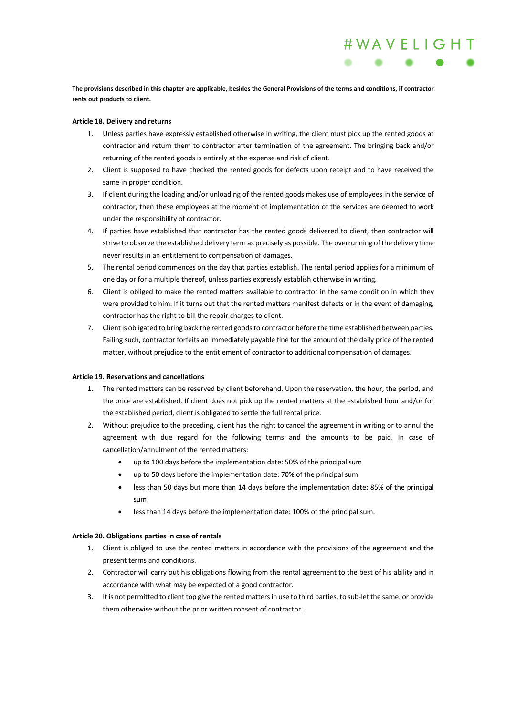**The provisions described in this chapter are applicable, besides the General Provisions of the terms and conditions, if contractor rents out products to client.** 

#WAVELIGHT

## **Article 18. Delivery and returns**

- 1. Unless parties have expressly established otherwise in writing, the client must pick up the rented goods at contractor and return them to contractor after termination of the agreement. The bringing back and/or returning of the rented goods is entirely at the expense and risk of client.
- 2. Client is supposed to have checked the rented goods for defects upon receipt and to have received the same in proper condition.
- 3. If client during the loading and/or unloading of the rented goods makes use of employees in the service of contractor, then these employees at the moment of implementation of the services are deemed to work under the responsibility of contractor.
- 4. If parties have established that contractor has the rented goods delivered to client, then contractor will strive to observe the established delivery term as precisely as possible. The overrunning of the delivery time never results in an entitlement to compensation of damages.
- 5. The rental period commences on the day that parties establish. The rental period applies for a minimum of one day or for a multiple thereof, unless parties expressly establish otherwise in writing.
- 6. Client is obliged to make the rented matters available to contractor in the same condition in which they were provided to him. If it turns out that the rented matters manifest defects or in the event of damaging, contractor has the right to bill the repair charges to client.
- 7. Clientis obligated to bring back the rented goods to contractor before the time established between parties. Failing such, contractor forfeits an immediately payable fine for the amount of the daily price of the rented matter, without prejudice to the entitlement of contractor to additional compensation of damages.

#### **Article 19. Reservations and cancellations**

- 1. The rented matters can be reserved by client beforehand. Upon the reservation, the hour, the period, and the price are established. If client does not pick up the rented matters at the established hour and/or for the established period, client is obligated to settle the full rental price.
- 2. Without prejudice to the preceding, client has the right to cancel the agreement in writing or to annul the agreement with due regard for the following terms and the amounts to be paid. In case of cancellation/annulment of the rented matters:
	- up to 100 days before the implementation date: 50% of the principal sum
	- up to 50 days before the implementation date: 70% of the principal sum
	- less than 50 days but more than 14 days before the implementation date: 85% of the principal sum
	- less than 14 days before the implementation date: 100% of the principal sum.

## **Article 20. Obligations parties in case of rentals**

- 1. Client is obliged to use the rented matters in accordance with the provisions of the agreement and the present terms and conditions.
- 2. Contractor will carry out his obligations flowing from the rental agreement to the best of his ability and in accordance with what may be expected of a good contractor.
- 3. It is not permitted to client top give the rented matters in use to third parties, to sub-let the same. or provide them otherwise without the prior written consent of contractor.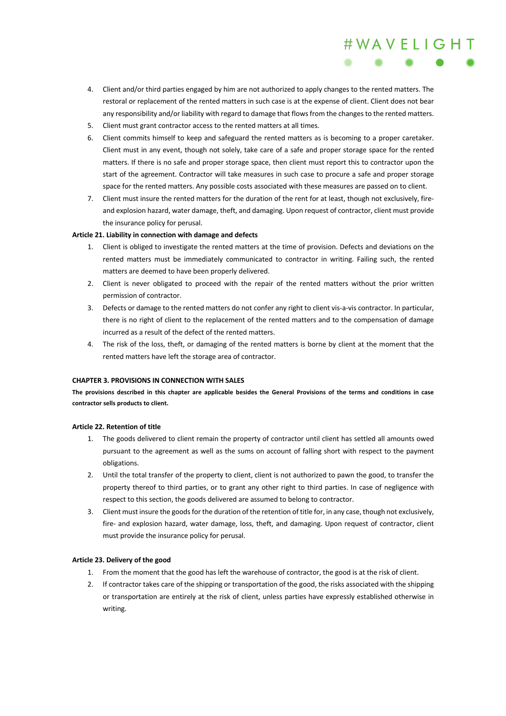4. Client and/or third parties engaged by him are not authorized to apply changes to the rented matters. The restoral or replacement of the rented matters in such case is at the expense of client. Client does not bear any responsibility and/or liability with regard to damage that flows from the changes to the rented matters.

#WAVELIGHT

- 5. Client must grant contractor access to the rented matters at all times.
- 6. Client commits himself to keep and safeguard the rented matters as is becoming to a proper caretaker. Client must in any event, though not solely, take care of a safe and proper storage space for the rented matters. If there is no safe and proper storage space, then client must report this to contractor upon the start of the agreement. Contractor will take measures in such case to procure a safe and proper storage space for the rented matters. Any possible costs associated with these measures are passed on to client.
- 7. Client must insure the rented matters for the duration of the rent for at least, though not exclusively, fireand explosion hazard, water damage, theft, and damaging. Upon request of contractor, client must provide the insurance policy for perusal.

## **Article 21. Liability in connection with damage and defects**

- 1. Client is obliged to investigate the rented matters at the time of provision. Defects and deviations on the rented matters must be immediately communicated to contractor in writing. Failing such, the rented matters are deemed to have been properly delivered.
- 2. Client is never obligated to proceed with the repair of the rented matters without the prior written permission of contractor.
- 3. Defects or damage to the rented matters do not confer any right to client vis-a-vis contractor. In particular, there is no right of client to the replacement of the rented matters and to the compensation of damage incurred as a result of the defect of the rented matters.
- 4. The risk of the loss, theft, or damaging of the rented matters is borne by client at the moment that the rented matters have left the storage area of contractor.

#### **CHAPTER 3. PROVISIONS IN CONNECTION WITH SALES**

**The provisions described in this chapter are applicable besides the General Provisions of the terms and conditions in case contractor sells products to client.** 

#### **Article 22. Retention of title**

- 1. The goods delivered to client remain the property of contractor until client has settled all amounts owed pursuant to the agreement as well as the sums on account of falling short with respect to the payment obligations.
- 2. Until the total transfer of the property to client, client is not authorized to pawn the good, to transfer the property thereof to third parties, or to grant any other right to third parties. In case of negligence with respect to this section, the goods delivered are assumed to belong to contractor.
- 3. Client must insure the goods for the duration of the retention of title for, in any case, though not exclusively, fire- and explosion hazard, water damage, loss, theft, and damaging. Upon request of contractor, client must provide the insurance policy for perusal.

## **Article 23. Delivery of the good**

- 1. From the moment that the good has left the warehouse of contractor, the good is at the risk of client.
- 2. If contractor takes care of the shipping or transportation of the good, the risks associated with the shipping or transportation are entirely at the risk of client, unless parties have expressly established otherwise in writing.